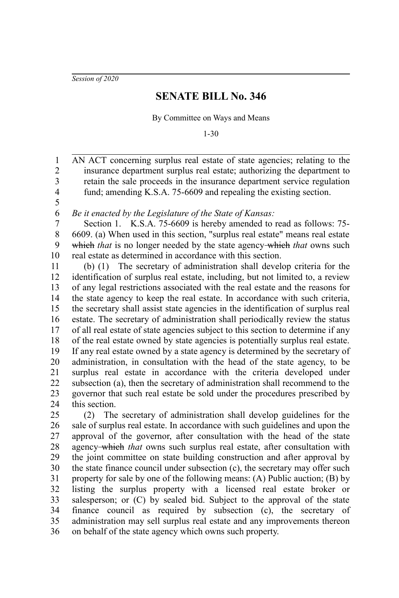*Session of 2020*

## **SENATE BILL No. 346**

By Committee on Ways and Means

1-30

AN ACT concerning surplus real estate of state agencies; relating to the insurance department surplus real estate; authorizing the department to retain the sale proceeds in the insurance department service regulation fund; amending K.S.A. 75-6609 and repealing the existing section. 1 2 3 4

5 6

*Be it enacted by the Legislature of the State of Kansas:*

Section 1. K.S.A. 75-6609 is hereby amended to read as follows: 75- 6609. (a) When used in this section, "surplus real estate" means real estate which *that* is no longer needed by the state agency which *that* owns such real estate as determined in accordance with this section. 7 8 9 10

(b) (1) The secretary of administration shall develop criteria for the identification of surplus real estate, including, but not limited to, a review of any legal restrictions associated with the real estate and the reasons for the state agency to keep the real estate. In accordance with such criteria, the secretary shall assist state agencies in the identification of surplus real estate. The secretary of administration shall periodically review the status of all real estate of state agencies subject to this section to determine if any of the real estate owned by state agencies is potentially surplus real estate. If any real estate owned by a state agency is determined by the secretary of administration, in consultation with the head of the state agency, to be surplus real estate in accordance with the criteria developed under subsection (a), then the secretary of administration shall recommend to the governor that such real estate be sold under the procedures prescribed by this section. 11 12 13 14 15 16 17 18 19 20 21 22 23 24

(2) The secretary of administration shall develop guidelines for the sale of surplus real estate. In accordance with such guidelines and upon the approval of the governor, after consultation with the head of the state agency which *that* owns such surplus real estate, after consultation with the joint committee on state building construction and after approval by the state finance council under subsection (c), the secretary may offer such property for sale by one of the following means: (A) Public auction; (B) by listing the surplus property with a licensed real estate broker or salesperson; or (C) by sealed bid. Subject to the approval of the state finance council as required by subsection (c), the secretary of administration may sell surplus real estate and any improvements thereon on behalf of the state agency which owns such property. 25 26 27 28 29 30 31 32 33 34 35 36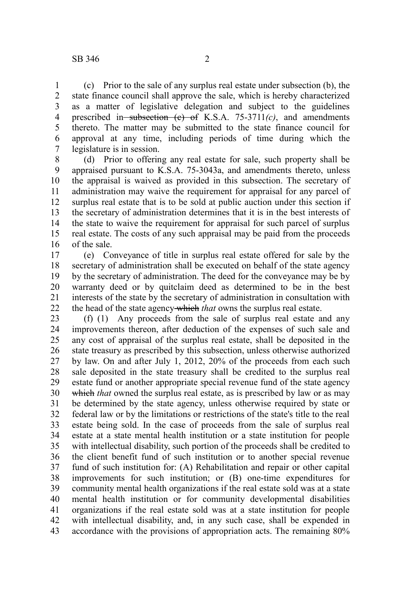(c) Prior to the sale of any surplus real estate under subsection (b), the state finance council shall approve the sale, which is hereby characterized as a matter of legislative delegation and subject to the guidelines prescribed in subsection  $(e)$  of K.S.A. 75-3711 $(c)$ , and amendments thereto. The matter may be submitted to the state finance council for approval at any time, including periods of time during which the legislature is in session. 1 2 3 4 5 6 7

(d) Prior to offering any real estate for sale, such property shall be appraised pursuant to K.S.A. 75-3043a, and amendments thereto, unless the appraisal is waived as provided in this subsection. The secretary of administration may waive the requirement for appraisal for any parcel of surplus real estate that is to be sold at public auction under this section if the secretary of administration determines that it is in the best interests of the state to waive the requirement for appraisal for such parcel of surplus real estate. The costs of any such appraisal may be paid from the proceeds of the sale. 8 9 10 11 12 13 14 15 16

(e) Conveyance of title in surplus real estate offered for sale by the secretary of administration shall be executed on behalf of the state agency by the secretary of administration. The deed for the conveyance may be by warranty deed or by quitclaim deed as determined to be in the best interests of the state by the secretary of administration in consultation with the head of the state agency which *that* owns the surplus real estate. 17 18 19 20 21 22

(f) (1) Any proceeds from the sale of surplus real estate and any improvements thereon, after deduction of the expenses of such sale and any cost of appraisal of the surplus real estate, shall be deposited in the state treasury as prescribed by this subsection, unless otherwise authorized by law. On and after July 1, 2012, 20% of the proceeds from each such sale deposited in the state treasury shall be credited to the surplus real estate fund or another appropriate special revenue fund of the state agency which *that* owned the surplus real estate, as is prescribed by law or as may be determined by the state agency, unless otherwise required by state or federal law or by the limitations or restrictions of the state's title to the real estate being sold. In the case of proceeds from the sale of surplus real estate at a state mental health institution or a state institution for people with intellectual disability, such portion of the proceeds shall be credited to the client benefit fund of such institution or to another special revenue fund of such institution for: (A) Rehabilitation and repair or other capital improvements for such institution; or (B) one-time expenditures for community mental health organizations if the real estate sold was at a state mental health institution or for community developmental disabilities organizations if the real estate sold was at a state institution for people with intellectual disability, and, in any such case, shall be expended in accordance with the provisions of appropriation acts. The remaining 80% 23 24 25 26 27 28 29 30 31 32 33 34 35 36 37 38 39 40 41 42 43